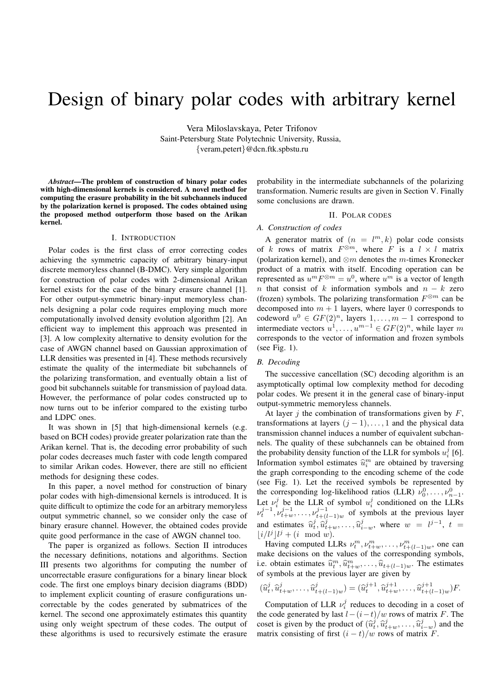# Design of binary polar codes with arbitrary kernel

Vera Miloslavskaya, Peter Trifonov Saint-Petersburg State Polytechnic University, Russia, {veram,petert}@dcn.ftk.spbstu.ru

*Abstract***—The problem of construction of binary polar codes with high-dimensional kernels is considered. A novel method for computing the erasure probability in the bit subchannels induced by the polarization kernel is proposed. The codes obtained using the proposed method outperform those based on the Arikan kernel.**

# I. INTRODUCTION

Polar codes is the first class of error correcting codes achieving the symmetric capacity of arbitrary binary-input discrete memoryless channel (B-DMC). Very simple algorithm for construction of polar codes with 2-dimensional Arikan kernel exists for the case of the binary erasure channel [1]. For other output-symmetric binary-input memoryless channels designing a polar code requires employing much more computationally involved density evolution algorithm [2]. An efficient way to implement this approach was presented in [3]. A low complexity alternative to density evolution for the case of AWGN channel based on Gaussian approximation of LLR densities was presented in [4]. These methods recursively estimate the quality of the intermediate bit subchannels of the polarizing transformation, and eventually obtain a list of good bit subchannels suitable for transmission of payload data. However, the performance of polar codes constructed up to now turns out to be inferior compared to the existing turbo and LDPC ones.

It was shown in [5] that high-dimensional kernels (e.g. based on BCH codes) provide greater polarization rate than the Arikan kernel. That is, the decoding error probability of such polar codes decreases much faster with code length compared to similar Arikan codes. However, there are still no efficient methods for designing these codes.

In this paper, a novel method for construction of binary polar codes with high-dimensional kernels is introduced. It is quite difficult to optimize the code for an arbitrary memoryless output symmetric channel, so we consider only the case of binary erasure channel. However, the obtained codes provide quite good performance in the case of AWGN channel too.

The paper is organized as follows. Section II introduces the necessary definitions, notations and algorithms. Section III presents two algorithms for computing the number of uncorrectable erasure configurations for a binary linear block code. The first one employs binary decision diagrams (BDD) to implement explicit counting of erasure configurations uncorrectable by the codes generated by submatrices of the kernel. The second one approximately estimates this quantity using only weight spectrum of these codes. The output of these algorithms is used to recursively estimate the erasure

probability in the intermediate subchannels of the polarizing transformation. Numeric results are given in Section V. Finally some conclusions are drawn.

#### II. POLAR CODES

## *A. Construction of codes*

A generator matrix of  $(n = l^m, k)$  polar code consists of k rows of matrix  $F^{\otimes m}$ , where F is a  $l \times l$  matrix (polarization kernel), and  $\otimes m$  denotes the m-times Kronecker product of a matrix with itself. Encoding operation can be represented as  $u^m F^{\otimes m} = u^0$ , where  $u^m$  is a vector of length n that consist of k information symbols and  $n - k$  zero (frozen) symbols. The polarizing transformation  $F^{\otimes m}$  can be decomposed into  $m + 1$  layers, where layer 0 corresponds to codeword  $u^0 \in GF(2)^n$ , layers  $1, \ldots, m-1$  correspond to intermediate vectors  $u^1, \ldots, u^{m-1} \in GF(2)^n$ , while layer m corresponds to the vector of information and frozen symbols (see Fig. 1).

## *B. Decoding*

The successive cancellation (SC) decoding algorithm is an asymptotically optimal low complexity method for decoding polar codes. We present it in the general case of binary-input output-symmetric memoryless channels.

At layer  $j$  the combination of transformations given by  $F$ , transformations at layers  $(j - 1), \ldots, 1$  and the physical data transmission channel induces a number of equivalent subchannels. The quality of these subchannels can be obtained from the probability density function of the LLR for symbols  $u_i^j$  [6]. Information symbol estimates  $\hat{u}_i^m$  are obtained by traversing<br>the small expression that the upseling scheme of the sade the graph corresponding to the encoding scheme of the code (see Fig. 1). Let the received symbols be represented by the corresponding log-likelihood ratios (LLR)  $v_0^0, \ldots, v_{n-1}^0$ . Let  $\nu_i^j$  be the LLR of symbol  $u_i^j$  conditioned on the LLRs  $\nu_t^{j-1}, \nu_{t+w}^{j-1}, \ldots, \nu_{t+(l)}^{j-1}$  $t_{t+(l-1)w}^{j-1}$  of symbols at the previous layer and estimates  $\hat{u}_t^j, \hat{u}_{t+w}^j, \dots, \hat{u}_{i-w}^j$ , where  $w = l^{j-1}, t =$  $\lfloor i/l^j \rfloor l^j + (i \mod w).$ 

Having computed LLRs  $v_t^m, v_{t+w}^m, \ldots, v_{t+(l-1)w}^m$ , one can make decisions on the values of the corresponding symbols, i.e. obtain estimates  $\hat{u}_t^m, \hat{u}_{t+w}^m, \dots, \hat{u}_{t+(l-1)w}$ . The estimates of symbols at the previous layer are given by

$$
(\widehat{u}_t^j, \widehat{u}_{t+w}^j, \dots, \widehat{u}_{t+(l-1)w}^j) = (\widehat{u}_t^{j+1}, \widehat{u}_{t+w}^{j+1}, \dots, \widehat{u}_{t+(l-1)w}^{j+1})F.
$$

Computation of LLR  $\nu_i^j$  reduces to decoding in a coset of the code generated by last  $l-(i-t)/w$  rows of matrix F. The coset is given by the product of  $(\hat{u}_i^j, \hat{u}_{t+w}^j, \dots, \hat{u}_{i-w}^j)$  and the matrix consisting of first  $(i - t)/w$  rows of matrix  $\overline{F}$ .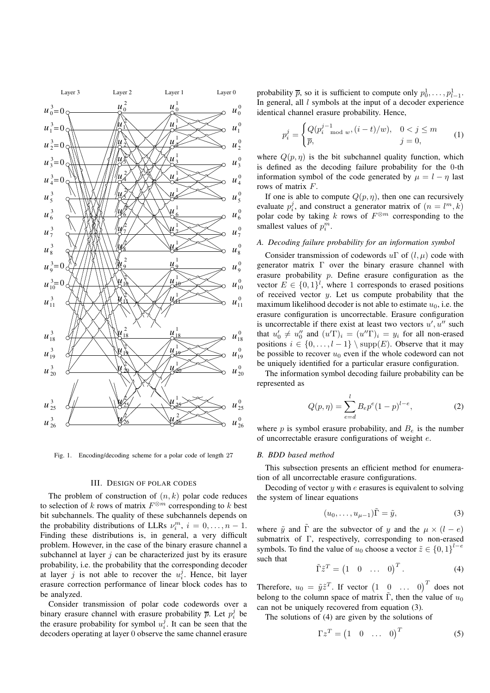

Fig. 1. Encoding/decoding scheme for a polar code of length 27

#### III. DESIGN OF POLAR CODES

The problem of construction of  $(n, k)$  polar code reduces to selection of k rows of matrix  $F^{\otimes m}$  corresponding to k best bit subchannels. The quality of these subchannels depends on the probability distributions of LLRs  $\nu_i^m$ ,  $i = 0, \ldots, n - 1$ . Finding these distributions is, in general, a very difficult problem. However, in the case of the binary erasure channel a subchannel at layer  $j$  can be characterized just by its erasure probability, i.e. the probability that the corresponding decoder at layer j is not able to recover the  $u_i^j$ . Hence, bit layer erasure correction performance of linear block codes has to be analyzed.

Consider transmission of polar code codewords over a binary erasure channel with erasure probability  $\bar{p}$ . Let  $p_i^j$  be the erasure probability for symbol  $u_i^j$ . It can be seen that the decoders operating at layer 0 observe the same channel erasure

probability  $\bar{p}$ , so it is sufficient to compute only  $p_0^1, \ldots, p_{l-1}^1$ . In general, all  $l$  symbols at the input of a decoder experience identical channel erasure probability. Hence,

$$
p_i^j = \begin{cases} Q(p_i^{j-1} \mod w, (i-t)/w), & 0 < j \le m \\ \overline{p}, & j = 0, \end{cases}
$$
 (1)

where  $Q(p, \eta)$  is the bit subchannel quality function, which is defined as the decoding failure probability for the 0-th information symbol of the code generated by  $\mu = l - \eta$  last rows of matrix F.

If one is able to compute  $Q(p, \eta)$ , then one can recursively evaluate  $p_i^j$ , and construct a generator matrix of  $(n = l^m, k)$ polar code by taking k rows of  $F^{\otimes m}$  corresponding to the smallest values of  $p_i^m$ .

## *A. Decoding failure probability for an information symbol*

Consider transmission of codewords  $u\Gamma$  of  $(l, \mu)$  code with generator matrix Γ over the binary erasure channel with erasure probability p. Define erasure configuration as the vector  $E \in \{0,1\}^l$ , where 1 corresponds to erased positions of received vector  $y$ . Let us compute probability that the maximum likelihood decoder is not able to estimate  $u_0$ , i.e. the erasure configuration is uncorrectable. Erasure configuration is uncorrectable if there exist at least two vectors  $u', u''$  such that  $u'_0 \neq u''_0$  and  $(u' \Gamma)_i = (u'' \Gamma)_i = y_i$  for all non-erased positions  $i \in \{0, \ldots, l-1\} \setminus \text{supp}(E)$ . Observe that it may be possible to recover  $u_0$  even if the whole codeword can not be uniquely identified for a particular erasure configuration.

The information symbol decoding failure probability can be represented as

$$
Q(p,\eta) = \sum_{e=d}^{l} B_e p^e (1-p)^{l-e}, \qquad (2)
$$

where  $p$  is symbol erasure probability, and  $B_e$  is the number of uncorrectable erasure configurations of weight e.

## *B. BDD based method*

This subsection presents an efficient method for enumeration of all uncorrectable erasure configurations.

Decoding of vector  $u$  with  $e$  erasures is equivalent to solving the system of linear equations

$$
(u_0, \dots, u_{\mu-1})\tilde{\Gamma} = \tilde{y}, \tag{3}
$$

where  $\tilde{y}$  and  $\tilde{\Gamma}$  are the subvector of y and the  $\mu \times (l - e)$ submatrix of Γ, respectively, corresponding to non-erased symbols. To find the value of  $u_0$  choose a vector  $\tilde{z} \in \{0,1\}^{l-e}$ such that

$$
\tilde{\Gamma}\tilde{z}^T = \begin{pmatrix} 1 & 0 & \dots & 0 \end{pmatrix}^T.
$$
 (4)

Therefore,  $u_0 = \tilde{y}\tilde{z}^T$ . If vector  $\begin{pmatrix} 1 & 0 & \dots & 0 \end{pmatrix}^T$  does not belong to the column space of matrix  $\tilde{\Gamma}$ , then the value of  $u_0$ can not be uniquely recovered from equation (3).

The solutions of (4) are given by the solutions of

$$
\Gamma z^T = \begin{pmatrix} 1 & 0 & \dots & 0 \end{pmatrix}^T \tag{5}
$$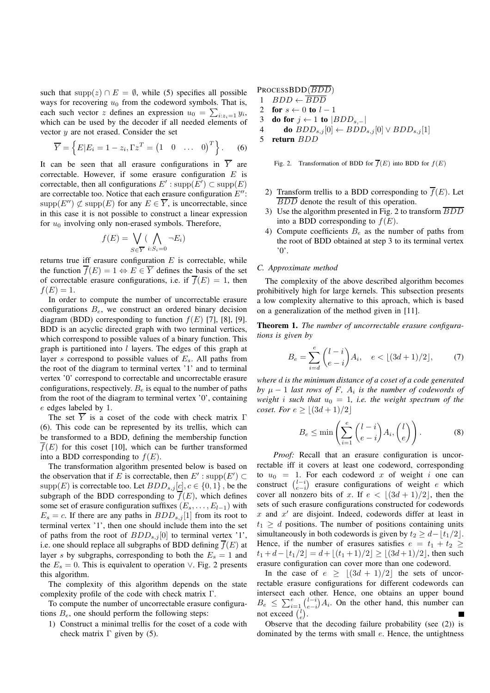such that supp(z) ∩  $E = \emptyset$ , while (5) specifies all possible ways for recovering  $u_0$  from the codeword symbols. That is, each such vector z defines an expression  $u_0 = \sum_{i:z_i=1} y_i$ , which can be used by the decoder if all needed elements of vector  $y$  are not erased. Consider the set

$$
\overline{Y} = \left\{ E | E_i = 1 - z_i, \Gamma z^T = \begin{pmatrix} 1 & 0 & \dots & 0 \end{pmatrix}^T \right\}.
$$
 (6)

It can be seen that all erasure configurations in  $\overline{Y}$  are correctable. However, if some erasure configuration  $E$  is correctable, then all configurations  $E'$ : supp $(E') \subset \text{supp}(E)$ are correctable too. Notice that each erasure configuration  $E''$ :  $\text{supp}(E'') \not\subset \text{supp}(E)$  for any  $E \in \overline{Y}$ , is uncorrectable, since in this case it is not possible to construct a linear expression for  $u_0$  involving only non-erased symbols. Therefore,

$$
f(E) = \bigvee_{S \in \overline{Y}} (\bigwedge_{i:S_i=0} \neg E_i)
$$

returns true iff erasure configuration  $E$  is correctable, while the function  $\overline{f}(E) = 1 \Leftrightarrow E \in \overline{Y}$  defines the basis of the set of correctable erasure configurations, i.e. if  $\overline{f}(E) = 1$ , then  $f(E) = 1.$ 

In order to compute the number of uncorrectable erasure configurations  $B_e$ , we construct an ordered binary decision diagram (BDD) corresponding to function  $f(E)$  [7], [8], [9]. BDD is an acyclic directed graph with two terminal vertices, which correspond to possible values of a binary function. This graph is partitioned into  $l$  layers. The edges of this graph at layer s correspond to possible values of  $E_s$ . All paths from the root of the diagram to terminal vertex '1' and to terminal vertex '0' correspond to correctable and uncorrectable erasure configurations, respectively.  $B_e$  is equal to the number of paths from the root of the diagram to terminal vertex '0', containing e edges labeled by 1.

The set  $\overline{Y}$  is a coset of the code with check matrix  $\Gamma$ (6). This code can be represented by its trellis, which can be transformed to a BDD, defining the membership function  $\overline{f}(E)$  for this coset [10], which can be further transformed into a BDD corresponding to  $f(E)$ .

The transformation algorithm presented below is based on the observation that if E is correctable, then  $E'$ : supp $(E') \subset$ supp $(E)$  is correctable too. Let  $BDD_{s,j}[c], c \in \{0,1\}$ , be the subgraph of the BDD corresponding to  $\overline{f}(E)$ , which defines some set of erasure configuration suffixes  $(E_s, \ldots, E_{l-1})$  with  $E_s = c$ . If there are any paths in  $BDD_{s,j}[1]$  from its root to terminal vertex '1', then one should include them into the set of paths from the root of  $BDD_{s,j}[0]$  to terminal vertex '1', i.e. one should replace all subgraphs of BDD defining  $\overline{f}(E)$  at layer s by subgraphs, corresponding to both the  $E_s = 1$  and the  $E_s = 0$ . This is equivalent to operation  $\vee$ . Fig. 2 presents this algorithm.

The complexity of this algorithm depends on the state complexity profile of the code with check matrix Γ.

To compute the number of uncorrectable erasure configurations  $B_e$ , one should perform the following steps:

1) Construct a minimal trellis for the coset of a code with check matrix  $\Gamma$  given by (5).

PROCESSBDD(BDD)  $BDD \leftarrow \overline{BDD}$ **for**  $s \leftarrow 0$  **to**  $l-1$ **do for**  $j \leftarrow 1$  **to**  $|BDD_{s,-}|$ **do**  $BDD_{s,j}[0]$  ←  $BDD_{s,j}[0]$  ∨  $BDD_{s,j}[1]$ <br>5 **return**  $BDD$ **return** BDD

Fig. 2. Transformation of BDD for  $\overline{f}(E)$  into BDD for  $f(E)$ 

- 2) Transform trellis to a BDD corresponding to  $\overline{f}(E)$ . Let BDD denote the result of this operation.
- 3) Use the algorithm presented in Fig. 2 to transform  $\overline{BDD}$ into a BDD corresponding to  $f(E)$ .
- 4) Compute coefficients  $B_e$  as the number of paths from the root of BDD obtained at step 3 to its terminal vertex '0'.

## *C. Approximate method*

The complexity of the above described algorithm becomes prohibitively high for large kernels. This subsection presents a low complexity alternative to this aproach, which is based on a generalization of the method given in [11].

**Theorem 1.** *The number of uncorrectable erasure configurations is given by*

$$
B_e = \sum_{i=d}^{e} {l-i \choose e-i} A_i, \quad e < \lfloor (3d+1)/2 \rfloor, \tag{7}
$$

*where* d *is the minimum distance of a coset of a code generated by*  $\mu - 1$  *last rows of* F,  $A_i$  *is the number of codewords of weight i such that*  $u_0 = 1$ *, i.e. the weight spectrum of the coset. For*  $e \ge |(3d + 1)/2|$ 

$$
B_e \le \min\left(\sum_{i=1}^e \binom{l-i}{e-i} A_i, \binom{l}{e}\right). \tag{8}
$$

*Proof:* Recall that an erasure configuration is uncorrectable iff it covers at least one codeword, corresponding to  $u_0 = 1$ . For each codeword x of weight i one can construct  $\binom{l-i}{e-i}$  erasure configurations of weight e which cover all nonzero bits of x. If  $e < \lfloor (3d + 1)/2 \rfloor$ , then the sets of such erasure configurations constructed for codewords  $x$  and  $x'$  are disjoint. Indeed, codewords differ at least in  $t_1 \geq d$  positions. The number of positions containing units simultaneously in both codewords is given by  $t_2 \geq d-|t_1/2|$ . Hence, if the number of erasures satisfies  $e = t_1 + t_2 \ge$  $t_1 + d - |t_1/2| = d + |(t_1 + 1)/2| \ge |(3d+1)/2|$ , then such erasure configuration can cover more than one codeword.

In the case of  $e \geq \lfloor (3d + 1)/2 \rfloor$  the sets of uncorrectable erasure configurations for different codewords can intersect each other. Hence, one obtains an upper bound  $B_e \leq \sum_{i=1}^{e} {l-i \choose e-i} A_i$ . On the other hand, this number can not exceed  $\binom{l}{e}$ .

Observe that the decoding failure probability (see (2)) is dominated by the terms with small e. Hence, the untightness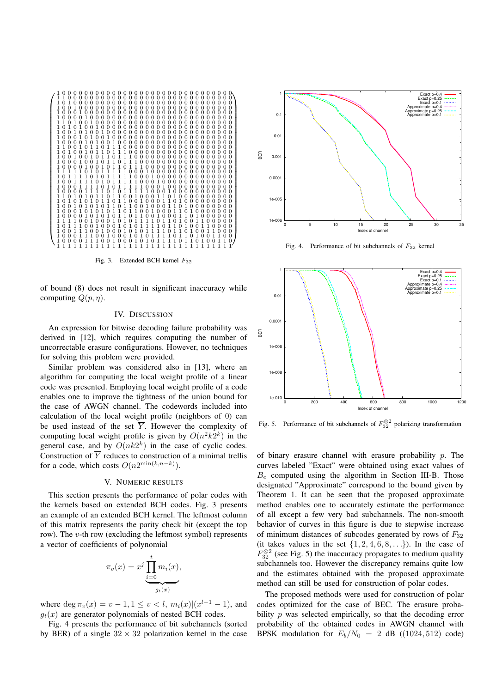

Fig. 3. Extended BCH kernel  $F_{32}$ 

of bound (8) does not result in significant inaccuracy while computing  $Q(p, \eta)$ .

#### **IV. DISCUSSION**

An expression for bitwise decoding failure probability was derived in [12], which requires computing the number of uncorrectable erasure configurations. However, no techniques for solving this problem were provided.

Similar problem was considered also in [13], where an algorithm for computing the local weight profile of a linear code was presented. Employing local weight profile of a code enables one to improve the tightness of the union bound for the case of AWGN channel. The codewords included into calculation of the local weight profile (neighbors of 0) can be used instead of the set  $\overline{Y}$ . However the complexity of computing local weight profile is given by  $O(n^2k2^k)$  in the general case, and by  $O(nk2^k)$  in the case of cyclic codes. Construction of  $\overline{Y}$  reduces to construction of a minimal trellis for a code, which costs  $O(n2^{\min(k,n-k)})$ .

## V. NUMERIC RESULTS

This section presents the performance of polar codes with the kernels based on extended BCH codes. Fig. 3 presents an example of an extended BCH kernel. The leftmost column of this matrix represents the parity check bit (except the top row). The  $v$ -th row (excluding the leftmost symbol) represents a vector of coefficients of polynomial

$$
\pi_v(x) = x^j \underbrace{\prod_{i=0}^t m_i(x)}_{g_t(x)},
$$

where  $\deg \pi_v(x) = v - 1, 1 \le v < l, m_i(x) | (x^{l-1} - 1)$ , and  $g_t(x)$  are generator polynomials of nested BCH codes.

Fig. 4 presents the performance of bit subchannels (sorted by BER) of a single  $32 \times 32$  polarization kernel in the case



Fig. 4. Performance of bit subchannels of  $F_{32}$  kernel



Fig. 5. Performance of bit subchannels of  $F_{32}^{\otimes 2}$  polarizing transformation

of binary erasure channel with erasure probability  $p$ . The curves labeled "Exact" were obtained using exact values of  $B_e$  computed using the algorithm in Section III-B. Those designated "Approximate" correspond to the bound given by Theorem 1. It can be seen that the proposed approximate method enables one to accurately estimate the performance of all except a few very bad subchannels. The non-smooth behavior of curves in this figure is due to stepwise increase of minimum distances of subcodes generated by rows of  $F_{32}$ (it takes values in the set  $\{1, 2, 4, 6, 8, \ldots\}$ ). In the case of  $F_{32}^{\otimes 2}$  (see Fig. 5) the inaccuracy propagates to medium quality subchannels too. However the discrepancy remains quite low and the estimates obtained with the proposed approximate method can still be used for construction of polar codes.

The proposed methods were used for construction of polar codes optimized for the case of BEC. The erasure probability  $p$  was selected empirically, so that the decoding error probability of the obtained codes in AWGN channel with BPSK modulation for  $E_b/N_0 = 2$  dB ((1024, 512) code)